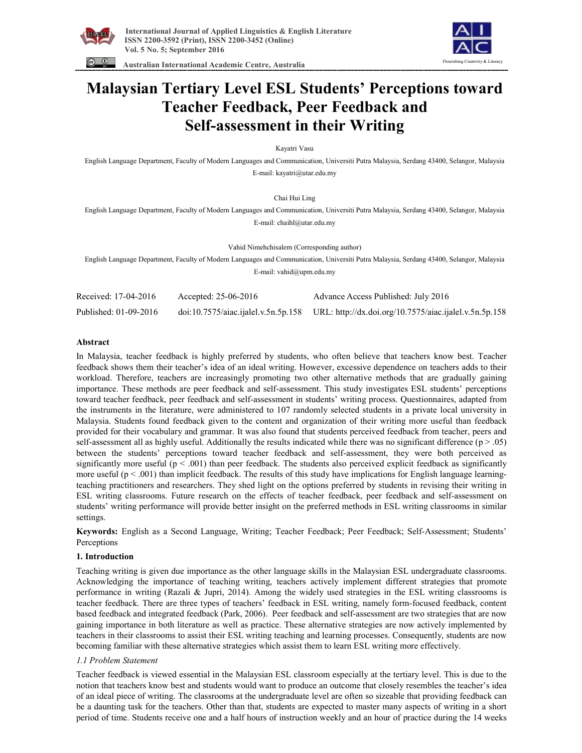

 **Australian International Academic Centre, Australia** 



# **Malaysian Tertiary Level ESL Students' Perceptions toward Teacher Feedback, Peer Feedback and Self-assessment in their Writing**

Kayatri Vasu

English Language Department, Faculty of Modern Languages and Communication, Universiti Putra Malaysia, Serdang 43400, Selangor, Malaysia E-mail: kayatri@utar.edu.my

Chai Hui Ling

English Language Department, Faculty of Modern Languages and Communication, Universiti Putra Malaysia, Serdang 43400, Selangor, Malaysia E-mail: chaihl@utar.edu.my

Vahid Nimehchisalem (Corresponding author)

English Language Department, Faculty of Modern Languages and Communication, Universiti Putra Malaysia, Serdang 43400, Selangor, Malaysia

E-mail: vahid@upm.edu.my

| Received: 17-04-2016  | Accepted: $25-06-2016$ | Advance Access Published: July 2016                                                        |
|-----------------------|------------------------|--------------------------------------------------------------------------------------------|
| Published: 01-09-2016 |                        | doi:10.7575/aiac.ijalel.v.5n.5p.158 URL: http://dx.doi.org/10.7575/aiac.ijalel.v.5n.5p.158 |

#### **Abstract**

In Malaysia, teacher feedback is highly preferred by students, who often believe that teachers know best. Teacher feedback shows them their teacher's idea of an ideal writing. However, excessive dependence on teachers adds to their workload. Therefore, teachers are increasingly promoting two other alternative methods that are gradually gaining importance. These methods are peer feedback and self-assessment. This study investigates ESL students' perceptions toward teacher feedback, peer feedback and self-assessment in students' writing process. Questionnaires, adapted from the instruments in the literature, were administered to 107 randomly selected students in a private local university in Malaysia. Students found feedback given to the content and organization of their writing more useful than feedback provided for their vocabulary and grammar. It was also found that students perceived feedback from teacher, peers and self-assessment all as highly useful. Additionally the results indicated while there was no significant difference  $(p > .05)$ between the students' perceptions toward teacher feedback and self-assessment, they were both perceived as significantly more useful  $(p < .001)$  than peer feedback. The students also perceived explicit feedback as significantly more useful  $(p < .001)$  than implicit feedback. The results of this study have implications for English language learningteaching practitioners and researchers. They shed light on the options preferred by students in revising their writing in ESL writing classrooms. Future research on the effects of teacher feedback, peer feedback and self-assessment on students' writing performance will provide better insight on the preferred methods in ESL writing classrooms in similar settings.

**Keywords:** English as a Second Language, Writing; Teacher Feedback; Peer Feedback; Self-Assessment; Students' Perceptions

#### **1. Introduction**

Teaching writing is given due importance as the other language skills in the Malaysian ESL undergraduate classrooms. Acknowledging the importance of teaching writing, teachers actively implement different strategies that promote performance in writing (Razali & Jupri, 2014). Among the widely used strategies in the ESL writing classrooms is teacher feedback. There are three types of teachers' feedback in ESL writing, namely form-focused feedback, content based feedback and integrated feedback (Park, 2006). Peer feedback and self-assessment are two strategies that are now gaining importance in both literature as well as practice. These alternative strategies are now actively implemented by teachers in their classrooms to assist their ESL writing teaching and learning processes. Consequently, students are now becoming familiar with these alternative strategies which assist them to learn ESL writing more effectively.

## *1.1 Problem Statement*

Teacher feedback is viewed essential in the Malaysian ESL classroom especially at the tertiary level. This is due to the notion that teachers know best and students would want to produce an outcome that closely resembles the teacher's idea of an ideal piece of writing. The classrooms at the undergraduate level are often so sizeable that providing feedback can be a daunting task for the teachers. Other than that, students are expected to master many aspects of writing in a short period of time. Students receive one and a half hours of instruction weekly and an hour of practice during the 14 weeks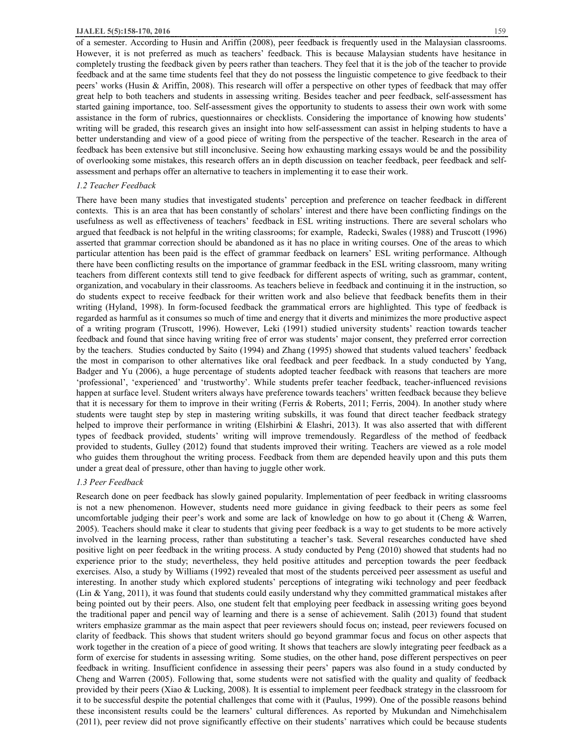of a semester. According to Husin and Ariffin (2008), peer feedback is frequently used in the Malaysian classrooms. However, it is not preferred as much as teachers' feedback. This is because Malaysian students have hesitance in completely trusting the feedback given by peers rather than teachers. They feel that it is the job of the teacher to provide feedback and at the same time students feel that they do not possess the linguistic competence to give feedback to their peers' works (Husin & Ariffin, 2008). This research will offer a perspective on other types of feedback that may offer great help to both teachers and students in assessing writing. Besides teacher and peer feedback, self-assessment has started gaining importance, too. Self-assessment gives the opportunity to students to assess their own work with some assistance in the form of rubrics, questionnaires or checklists. Considering the importance of knowing how students' writing will be graded, this research gives an insight into how self-assessment can assist in helping students to have a better understanding and view of a good piece of writing from the perspective of the teacher. Research in the area of feedback has been extensive but still inconclusive. Seeing how exhausting marking essays would be and the possibility of overlooking some mistakes, this research offers an in depth discussion on teacher feedback, peer feedback and selfassessment and perhaps offer an alternative to teachers in implementing it to ease their work.

#### *1.2 Teacher Feedback*

There have been many studies that investigated students' perception and preference on teacher feedback in different contexts. This is an area that has been constantly of scholars' interest and there have been conflicting findings on the usefulness as well as effectiveness of teachers' feedback in ESL writing instructions. There are several scholars who argued that feedback is not helpful in the writing classrooms; for example, Radecki, Swales (1988) and Truscott (1996) asserted that grammar correction should be abandoned as it has no place in writing courses. One of the areas to which particular attention has been paid is the effect of grammar feedback on learners' ESL writing performance. Although there have been conflicting results on the importance of grammar feedback in the ESL writing classroom, many writing teachers from different contexts still tend to give feedback for different aspects of writing, such as grammar, content, organization, and vocabulary in their classrooms. As teachers believe in feedback and continuing it in the instruction, so do students expect to receive feedback for their written work and also believe that feedback benefits them in their writing (Hyland, 1998). In form-focused feedback the grammatical errors are highlighted. This type of feedback is regarded as harmful as it consumes so much of time and energy that it diverts and minimizes the more productive aspect of a writing program (Truscott, 1996). However, Leki (1991) studied university students' reaction towards teacher feedback and found that since having writing free of error was students' major consent, they preferred error correction by the teachers. Studies conducted by Saito (1994) and Zhang (1995) showed that students valued teachers' feedback the most in comparison to other alternatives like oral feedback and peer feedback. In a study conducted by Yang, Badger and Yu (2006), a huge percentage of students adopted teacher feedback with reasons that teachers are more 'professional', 'experienced' and 'trustworthy'. While students prefer teacher feedback, teacher-influenced revisions happen at surface level. Student writers always have preference towards teachers' written feedback because they believe that it is necessary for them to improve in their writing (Ferris & Roberts, 2011; Ferris, 2004). In another study where students were taught step by step in mastering writing subskills, it was found that direct teacher feedback strategy helped to improve their performance in writing (Elshirbini & Elashri, 2013). It was also asserted that with different types of feedback provided, students' writing will improve tremendously. Regardless of the method of feedback provided to students, Gulley (2012) found that students improved their writing. Teachers are viewed as a role model who guides them throughout the writing process. Feedback from them are depended heavily upon and this puts them under a great deal of pressure, other than having to juggle other work.

#### *1.3 Peer Feedback*

Research done on peer feedback has slowly gained popularity. Implementation of peer feedback in writing classrooms is not a new phenomenon. However, students need more guidance in giving feedback to their peers as some feel uncomfortable judging their peer's work and some are lack of knowledge on how to go about it (Cheng & Warren, 2005). Teachers should make it clear to students that giving peer feedback is a way to get students to be more actively involved in the learning process, rather than substituting a teacher's task. Several researches conducted have shed positive light on peer feedback in the writing process. A study conducted by Peng (2010) showed that students had no experience prior to the study; nevertheless, they held positive attitudes and perception towards the peer feedback exercises. Also, a study by Williams (1992) revealed that most of the students perceived peer assessment as useful and interesting. In another study which explored students' perceptions of integrating wiki technology and peer feedback (Lin & Yang, 2011), it was found that students could easily understand why they committed grammatical mistakes after being pointed out by their peers. Also, one student felt that employing peer feedback in assessing writing goes beyond the traditional paper and pencil way of learning and there is a sense of achievement. Salih (2013) found that student writers emphasize grammar as the main aspect that peer reviewers should focus on; instead, peer reviewers focused on clarity of feedback. This shows that student writers should go beyond grammar focus and focus on other aspects that work together in the creation of a piece of good writing. It shows that teachers are slowly integrating peer feedback as a form of exercise for students in assessing writing. Some studies, on the other hand, pose different perspectives on peer feedback in writing. Insufficient confidence in assessing their peers' papers was also found in a study conducted by Cheng and Warren (2005). Following that, some students were not satisfied with the quality and quality of feedback provided by their peers (Xiao & Lucking, 2008). It is essential to implement peer feedback strategy in the classroom for it to be successful despite the potential challenges that come with it (Paulus, 1999). One of the possible reasons behind these inconsistent results could be the learners' cultural differences. As reported by Mukundan and Nimehchisalem (2011), peer review did not prove significantly effective on their students' narratives which could be because students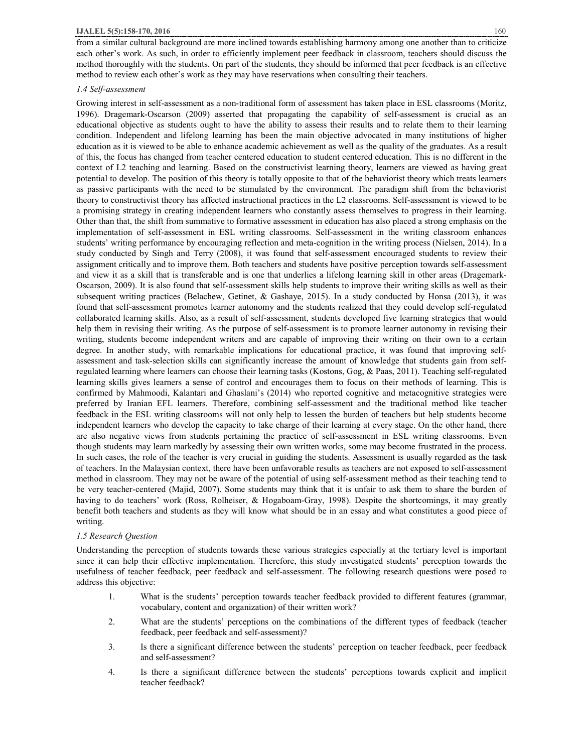from a similar cultural background are more inclined towards establishing harmony among one another than to criticize each other's work. As such, in order to efficiently implement peer feedback in classroom, teachers should discuss the method thoroughly with the students. On part of the students, they should be informed that peer feedback is an effective method to review each other's work as they may have reservations when consulting their teachers.

#### *1.4 Self-assessment*

Growing interest in self-assessment as a non-traditional form of assessment has taken place in ESL classrooms (Moritz, 1996). Dragemark-Oscarson (2009) asserted that propagating the capability of self-assessment is crucial as an educational objective as students ought to have the ability to assess their results and to relate them to their learning condition. Independent and lifelong learning has been the main objective advocated in many institutions of higher education as it is viewed to be able to enhance academic achievement as well as the quality of the graduates. As a result of this, the focus has changed from teacher centered education to student centered education. This is no different in the context of L2 teaching and learning. Based on the constructivist learning theory, learners are viewed as having great potential to develop. The position of this theory is totally opposite to that of the behaviorist theory which treats learners as passive participants with the need to be stimulated by the environment. The paradigm shift from the behaviorist theory to constructivist theory has affected instructional practices in the L2 classrooms. Self-assessment is viewed to be a promising strategy in creating independent learners who constantly assess themselves to progress in their learning. Other than that, the shift from summative to formative assessment in education has also placed a strong emphasis on the implementation of self-assessment in ESL writing classrooms. Self-assessment in the writing classroom enhances students' writing performance by encouraging reflection and meta-cognition in the writing process (Nielsen, 2014). In a study conducted by Singh and Terry (2008), it was found that self-assessment encouraged students to review their assignment critically and to improve them. Both teachers and students have positive perception towards self-assessment and view it as a skill that is transferable and is one that underlies a lifelong learning skill in other areas (Dragemark-Oscarson, 2009). It is also found that self-assessment skills help students to improve their writing skills as well as their subsequent writing practices (Belachew, Getinet, & Gashaye, 2015). In a study conducted by Honsa (2013), it was found that self-assessment promotes learner autonomy and the students realized that they could develop self-regulated collaborated learning skills. Also, as a result of self-assessment, students developed five learning strategies that would help them in revising their writing. As the purpose of self-assessment is to promote learner autonomy in revising their writing, students become independent writers and are capable of improving their writing on their own to a certain degree. In another study, with remarkable implications for educational practice, it was found that improving selfassessment and task-selection skills can significantly increase the amount of knowledge that students gain from selfregulated learning where learners can choose their learning tasks (Kostons, Gog, & Paas, 2011). Teaching self-regulated learning skills gives learners a sense of control and encourages them to focus on their methods of learning. This is confirmed by Mahmoodi, Kalantari and Ghaslani's (2014) who reported cognitive and metacognitive strategies were preferred by Iranian EFL learners. Therefore, combining self-assessment and the traditional method like teacher feedback in the ESL writing classrooms will not only help to lessen the burden of teachers but help students become independent learners who develop the capacity to take charge of their learning at every stage. On the other hand, there are also negative views from students pertaining the practice of self-assessment in ESL writing classrooms. Even though students may learn markedly by assessing their own written works, some may become frustrated in the process. In such cases, the role of the teacher is very crucial in guiding the students. Assessment is usually regarded as the task of teachers. In the Malaysian context, there have been unfavorable results as teachers are not exposed to self-assessment method in classroom. They may not be aware of the potential of using self-assessment method as their teaching tend to be very teacher-centered (Majid, 2007). Some students may think that it is unfair to ask them to share the burden of having to do teachers' work (Ross, Rolheiser, & Hogaboam-Gray, 1998). Despite the shortcomings, it may greatly benefit both teachers and students as they will know what should be in an essay and what constitutes a good piece of writing.

#### *1.5 Research Question*

Understanding the perception of students towards these various strategies especially at the tertiary level is important since it can help their effective implementation. Therefore, this study investigated students' perception towards the usefulness of teacher feedback, peer feedback and self-assessment. The following research questions were posed to address this objective:

- 1. What is the students' perception towards teacher feedback provided to different features (grammar, vocabulary, content and organization) of their written work?
- 2. What are the students' perceptions on the combinations of the different types of feedback (teacher feedback, peer feedback and self-assessment)?
- 3. Is there a significant difference between the students' perception on teacher feedback, peer feedback and self-assessment?
- 4. Is there a significant difference between the students' perceptions towards explicit and implicit teacher feedback?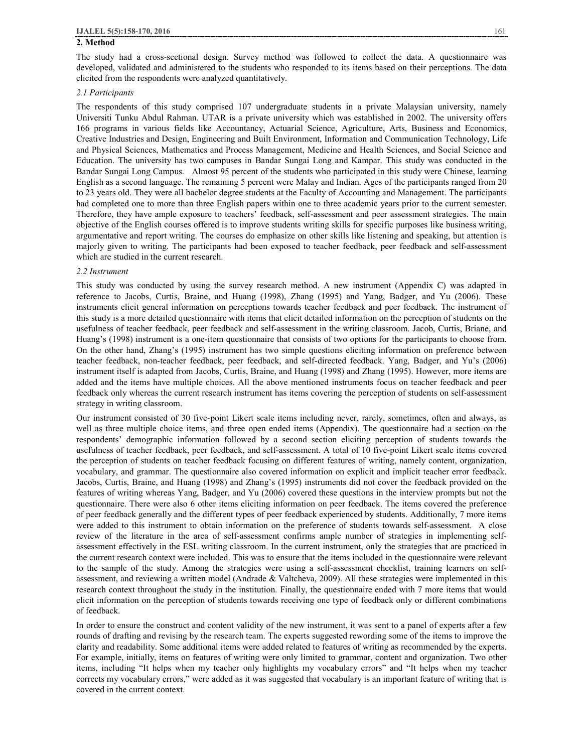## **2. Method**

The study had a cross-sectional design. Survey method was followed to collect the data. A questionnaire was developed, validated and administered to the students who responded to its items based on their perceptions. The data elicited from the respondents were analyzed quantitatively.

#### *2.1 Participants*

The respondents of this study comprised 107 undergraduate students in a private Malaysian university, namely Universiti Tunku Abdul Rahman. UTAR is a private university which was established in 2002. The university offers 166 programs in various fields like Accountancy, Actuarial Science, Agriculture, Arts, Business and Economics, Creative Industries and Design, Engineering and Built Environment, Information and Communication Technology, Life and Physical Sciences, Mathematics and Process Management, Medicine and Health Sciences, and Social Science and Education. The university has two campuses in Bandar Sungai Long and Kampar. This study was conducted in the Bandar Sungai Long Campus. Almost 95 percent of the students who participated in this study were Chinese, learning English as a second language. The remaining 5 percent were Malay and Indian. Ages of the participants ranged from 20 to 23 years old. They were all bachelor degree students at the Faculty of Accounting and Management. The participants had completed one to more than three English papers within one to three academic years prior to the current semester. Therefore, they have ample exposure to teachers' feedback, self-assessment and peer assessment strategies. The main objective of the English courses offered is to improve students writing skills for specific purposes like business writing, argumentative and report writing. The courses do emphasize on other skills like listening and speaking, but attention is majorly given to writing. The participants had been exposed to teacher feedback, peer feedback and self-assessment which are studied in the current research.

#### *2.2 Instrument*

This study was conducted by using the survey research method. A new instrument (Appendix C) was adapted in reference to Jacobs, Curtis, Braine, and Huang (1998), Zhang (1995) and Yang, Badger, and Yu (2006). These instruments elicit general information on perceptions towards teacher feedback and peer feedback. The instrument of this study is a more detailed questionnaire with items that elicit detailed information on the perception of students on the usefulness of teacher feedback, peer feedback and self-assessment in the writing classroom. Jacob, Curtis, Briane, and Huang's (1998) instrument is a one-item questionnaire that consists of two options for the participants to choose from. On the other hand, Zhang's (1995) instrument has two simple questions eliciting information on preference between teacher feedback, non-teacher feedback, peer feedback, and self-directed feedback. Yang, Badger, and Yu's (2006) instrument itself is adapted from Jacobs, Curtis, Braine, and Huang (1998) and Zhang (1995). However, more items are added and the items have multiple choices. All the above mentioned instruments focus on teacher feedback and peer feedback only whereas the current research instrument has items covering the perception of students on self-assessment strategy in writing classroom.

Our instrument consisted of 30 five-point Likert scale items including never, rarely, sometimes, often and always, as well as three multiple choice items, and three open ended items (Appendix). The questionnaire had a section on the respondents' demographic information followed by a second section eliciting perception of students towards the usefulness of teacher feedback, peer feedback, and self-assessment. A total of 10 five-point Likert scale items covered the perception of students on teacher feedback focusing on different features of writing, namely content, organization, vocabulary, and grammar. The questionnaire also covered information on explicit and implicit teacher error feedback. Jacobs, Curtis, Braine, and Huang (1998) and Zhang's (1995) instruments did not cover the feedback provided on the features of writing whereas Yang, Badger, and Yu (2006) covered these questions in the interview prompts but not the questionnaire. There were also 6 other items eliciting information on peer feedback. The items covered the preference of peer feedback generally and the different types of peer feedback experienced by students. Additionally, 7 more items were added to this instrument to obtain information on the preference of students towards self-assessment. A close review of the literature in the area of self-assessment confirms ample number of strategies in implementing selfassessment effectively in the ESL writing classroom. In the current instrument, only the strategies that are practiced in the current research context were included. This was to ensure that the items included in the questionnaire were relevant to the sample of the study. Among the strategies were using a self-assessment checklist, training learners on selfassessment, and reviewing a written model (Andrade & Valtcheva, 2009). All these strategies were implemented in this research context throughout the study in the institution. Finally, the questionnaire ended with 7 more items that would elicit information on the perception of students towards receiving one type of feedback only or different combinations of feedback.

In order to ensure the construct and content validity of the new instrument, it was sent to a panel of experts after a few rounds of drafting and revising by the research team. The experts suggested rewording some of the items to improve the clarity and readability. Some additional items were added related to features of writing as recommended by the experts. For example, initially, items on features of writing were only limited to grammar, content and organization. Two other items, including "It helps when my teacher only highlights my vocabulary errors" and "It helps when my teacher corrects my vocabulary errors," were added as it was suggested that vocabulary is an important feature of writing that is covered in the current context.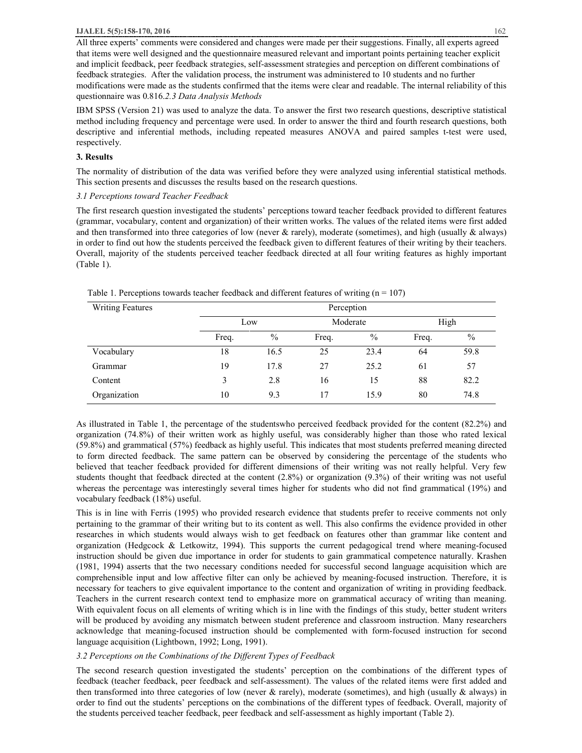#### **IJALEL 5(5):158-170, 2016** 162

All three experts' comments were considered and changes were made per their suggestions. Finally, all experts agreed that items were well designed and the questionnaire measured relevant and important points pertaining teacher explicit and implicit feedback, peer feedback strategies, self-assessment strategies and perception on different combinations of feedback strategies. After the validation process, the instrument was administered to 10 students and no further modifications were made as the students confirmed that the items were clear and readable. The internal reliability of this questionnaire was 0.816.*2.3 Data Analysis Methods* 

IBM SPSS (Version 21) was used to analyze the data. To answer the first two research questions, descriptive statistical method including frequency and percentage were used. In order to answer the third and fourth research questions, both descriptive and inferential methods, including repeated measures ANOVA and paired samples t-test were used, respectively.

## **3. Results**

The normality of distribution of the data was verified before they were analyzed using inferential statistical methods. This section presents and discusses the results based on the research questions.

## *3.1 Perceptions toward Teacher Feedback*

The first research question investigated the students' perceptions toward teacher feedback provided to different features (grammar, vocabulary, content and organization) of their written works. The values of the related items were first added and then transformed into three categories of low (never & rarely), moderate (sometimes), and high (usually & always) in order to find out how the students perceived the feedback given to different features of their writing by their teachers. Overall, majority of the students perceived teacher feedback directed at all four writing features as highly important (Table 1).

| <b>Writing Features</b> | Perception |               |          |      |       |               |  |
|-------------------------|------------|---------------|----------|------|-------|---------------|--|
|                         | Low        |               | Moderate |      | High  |               |  |
|                         | Freq.      | $\frac{0}{0}$ | Freq.    | $\%$ | Freq. | $\frac{0}{0}$ |  |
| Vocabulary              | 18         | 16.5          | 25       | 23.4 | 64    | 59.8          |  |
| Grammar                 | 19         | 17.8          | 27       | 25.2 | 61    | 57            |  |
| Content                 | 3          | 2.8           | 16       | 15   | 88    | 82.2          |  |
| Organization            | 10         | 9.3           | 17       | 15.9 | 80    | 74.8          |  |

Table 1. Perceptions towards teacher feedback and different features of writing ( $n = 107$ )

As illustrated in Table 1, the percentage of the studentswho perceived feedback provided for the content (82.2%) and organization (74.8%) of their written work as highly useful, was considerably higher than those who rated lexical (59.8%) and grammatical (57%) feedback as highly useful. This indicates that most students preferred meaning directed to form directed feedback. The same pattern can be observed by considering the percentage of the students who believed that teacher feedback provided for different dimensions of their writing was not really helpful. Very few students thought that feedback directed at the content (2.8%) or organization (9.3%) of their writing was not useful whereas the percentage was interestingly several times higher for students who did not find grammatical (19%) and vocabulary feedback (18%) useful.

This is in line with Ferris (1995) who provided research evidence that students prefer to receive comments not only pertaining to the grammar of their writing but to its content as well. This also confirms the evidence provided in other researches in which students would always wish to get feedback on features other than grammar like content and organization (Hedgcock & Letkowitz, 1994). This supports the current pedagogical trend where meaning-focused instruction should be given due importance in order for students to gain grammatical competence naturally. Krashen (1981, 1994) asserts that the two necessary conditions needed for successful second language acquisition which are comprehensible input and low affective filter can only be achieved by meaning-focused instruction. Therefore, it is necessary for teachers to give equivalent importance to the content and organization of writing in providing feedback. Teachers in the current research context tend to emphasize more on grammatical accuracy of writing than meaning. With equivalent focus on all elements of writing which is in line with the findings of this study, better student writers will be produced by avoiding any mismatch between student preference and classroom instruction. Many researchers acknowledge that meaning-focused instruction should be complemented with form-focused instruction for second language acquisition (Lightbown, 1992; Long, 1991).

## *3.2 Perceptions on the Combinations of the Different Types of Feedback*

The second research question investigated the students' perception on the combinations of the different types of feedback (teacher feedback, peer feedback and self-assessment). The values of the related items were first added and then transformed into three categories of low (never & rarely), moderate (sometimes), and high (usually & always) in order to find out the students' perceptions on the combinations of the different types of feedback. Overall, majority of the students perceived teacher feedback, peer feedback and self-assessment as highly important (Table 2).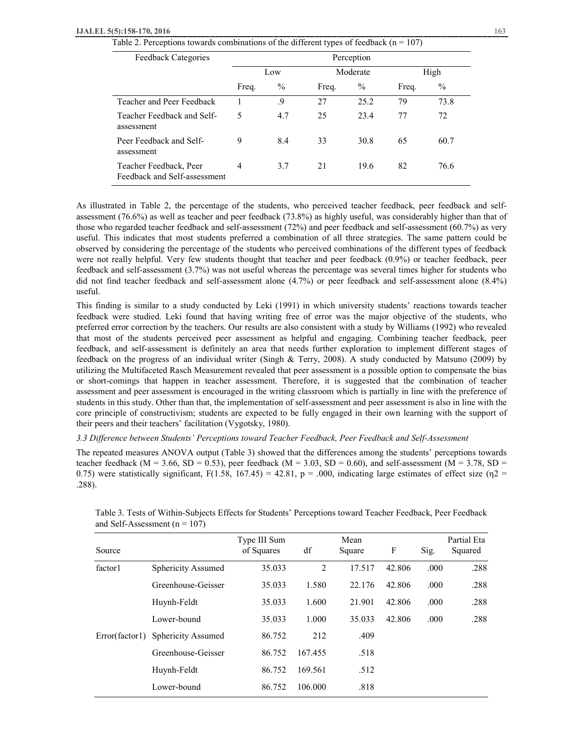| Table 2. Perceptions towards combinations of the different types of feedback ( $n = 107$ ) |  |  |
|--------------------------------------------------------------------------------------------|--|--|
|                                                                                            |  |  |

| Feedback Categories                                    |       |               |       | Perception |       |               |
|--------------------------------------------------------|-------|---------------|-------|------------|-------|---------------|
|                                                        | Low   |               |       | Moderate   | High  |               |
|                                                        | Freq. | $\frac{0}{0}$ | Freq. | $\%$       | Freq. | $\frac{0}{0}$ |
| Teacher and Peer Feedback                              |       | .9            | 27    | 25.2       | 79    | 73.8          |
| Teacher Feedback and Self-<br>assessment               | 5     | 4.7           | 25    | 23.4       | 77    | 72            |
| Peer Feedback and Self-<br>assessment                  | 9     | 8.4           | 33    | 30.8       | 65    | 60.7          |
| Teacher Feedback, Peer<br>Feedback and Self-assessment | 4     | 3.7           | 21    | 19.6       | 82    | 76.6          |

As illustrated in Table 2, the percentage of the students, who perceived teacher feedback, peer feedback and selfassessment (76.6%) as well as teacher and peer feedback (73.8%) as highly useful, was considerably higher than that of those who regarded teacher feedback and self-assessment (72%) and peer feedback and self-assessment (60.7%) as very useful. This indicates that most students preferred a combination of all three strategies. The same pattern could be observed by considering the percentage of the students who perceived combinations of the different types of feedback were not really helpful. Very few students thought that teacher and peer feedback (0.9%) or teacher feedback, peer feedback and self-assessment (3.7%) was not useful whereas the percentage was several times higher for students who did not find teacher feedback and self-assessment alone (4.7%) or peer feedback and self-assessment alone (8.4%) useful.

This finding is similar to a study conducted by Leki (1991) in which university students' reactions towards teacher feedback were studied. Leki found that having writing free of error was the major objective of the students, who preferred error correction by the teachers. Our results are also consistent with a study by Williams (1992) who revealed that most of the students perceived peer assessment as helpful and engaging. Combining teacher feedback, peer feedback, and self-assessment is definitely an area that needs further exploration to implement different stages of feedback on the progress of an individual writer (Singh & Terry, 2008). A study conducted by Matsuno (2009) by utilizing the Multifaceted Rasch Measurement revealed that peer assessment is a possible option to compensate the bias or short-comings that happen in teacher assessment. Therefore, it is suggested that the combination of teacher assessment and peer assessment is encouraged in the writing classroom which is partially in line with the preference of students in this study. Other than that, the implementation of self-assessment and peer assessment is also in line with the core principle of constructivism; students are expected to be fully engaged in their own learning with the support of their peers and their teachers' facilitation (Vygotsky, 1980).

*3.3 Difference between Students' Perceptions toward Teacher Feedback, Peer Feedback and Self-Assessment* 

The repeated measures ANOVA output (Table 3) showed that the differences among the students' perceptions towards teacher feedback (M = 3.66, SD = 0.53), peer feedback (M = 3.03, SD = 0.60), and self-assessment (M = 3.78, SD = 0.75) were statistically significant, F(1.58, 167.45) = 42.81, p = .000, indicating large estimates of effect size ( $\eta$ 2 = .288).

| Source              |                           | Type III Sum<br>of Squares | df             | Mean<br>Square | F      | Sig.  | Partial Eta<br>Squared |
|---------------------|---------------------------|----------------------------|----------------|----------------|--------|-------|------------------------|
| factor <sup>1</sup> | Sphericity Assumed        | 35.033                     | $\overline{2}$ | 17.517         | 42.806 | .000  | .288                   |
|                     | Greenhouse-Geisser        | 35.033                     | 1.580          | 22.176         | 42.806 | .000  | .288                   |
|                     | Huynh-Feldt               | 35.033                     | 1.600          | 21.901         | 42.806 | .000  | .288                   |
|                     | Lower-bound               | 35.033                     | 1.000          | 35.033         | 42.806 | .000. | .288                   |
| Error(factor1)      | <b>Sphericity Assumed</b> | 86.752                     | 212            | .409           |        |       |                        |
|                     | Greenhouse-Geisser        | 86.752                     | 167.455        | .518           |        |       |                        |
|                     | Huynh-Feldt               | 86.752                     | 169.561        | .512           |        |       |                        |
|                     | Lower-bound               | 86.752                     | 106.000        | .818           |        |       |                        |

Table 3. Tests of Within-Subjects Effects for Students' Perceptions toward Teacher Feedback, Peer Feedback and Self-Assessment ( $n = 107$ )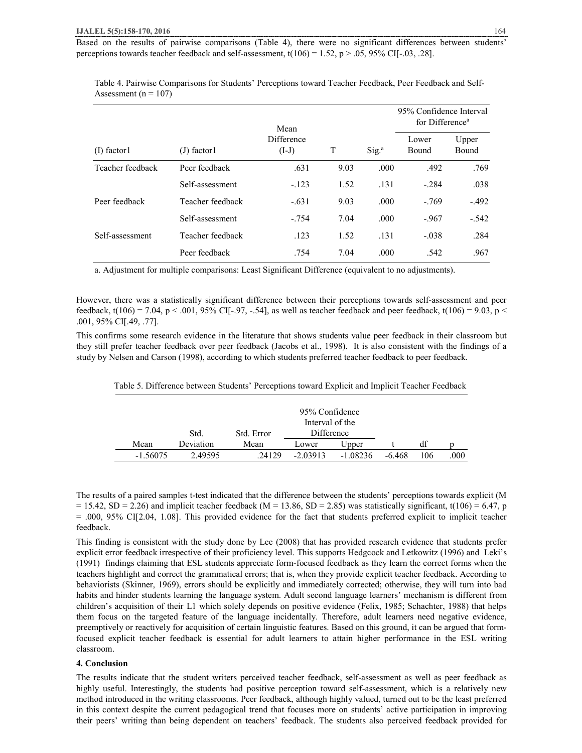Based on the results of pairwise comparisons (Table 4), there were no significant differences between students' perceptions towards teacher feedback and self-assessment,  $t(106) = 1.52$ ,  $p > .05$ , 95% CI[-.03, .28].

Table 4. Pairwise Comparisons for Students' Perceptions toward Teacher Feedback, Peer Feedback and Self-Assessment ( $n = 107$ )

|                  |                  | Mean                  |      |                   | 95% Confidence Interval<br>for Difference <sup>a</sup> |                |  |  |
|------------------|------------------|-----------------------|------|-------------------|--------------------------------------------------------|----------------|--|--|
| $(I)$ factor $I$ | $(J)$ factor l   | Difference<br>$(I-J)$ | T    | Sig. <sup>a</sup> | Lower<br>Bound                                         | Upper<br>Bound |  |  |
| Teacher feedback | Peer feedback    | .631                  | 9.03 | .000              | .492                                                   | .769           |  |  |
|                  | Self-assessment  | $-.123$               | 1.52 | .131              | $-.284$                                                | .038           |  |  |
| Peer feedback    | Teacher feedback | $-.631$               | 9.03 | .000              | $-.769$                                                | $-.492$        |  |  |
|                  | Self-assessment  | $-.754$               | 7.04 | .000              | $-.967$                                                | $-.542$        |  |  |
| Self-assessment  | Teacher feedback | .123                  | 1.52 | .131              | $-.038$                                                | .284           |  |  |
|                  | Peer feedback    | .754                  | 7.04 | .000              | .542                                                   | .967           |  |  |

a. Adjustment for multiple comparisons: Least Significant Difference (equivalent to no adjustments).

However, there was a statistically significant difference between their perceptions towards self-assessment and peer feedback, t(106) = 7.04, p < .001, 95% CI[-.97, -.54], as well as teacher feedback and peer feedback, t(106) = 9.03, p < .001, 95% CI[.49, .77].

This confirms some research evidence in the literature that shows students value peer feedback in their classroom but they still prefer teacher feedback over peer feedback (Jacobs et al., 1998). It is also consistent with the findings of a study by Nelsen and Carson (1998), according to which students preferred teacher feedback to peer feedback.

| Table 5. Difference between Students' Perceptions toward Explicit and Implicit Teacher Feedback |  |  |  |
|-------------------------------------------------------------------------------------------------|--|--|--|
|-------------------------------------------------------------------------------------------------|--|--|--|

|            |           | 95% Confidence<br>Interval of the |            |            |        |     |      |  |
|------------|-----------|-----------------------------------|------------|------------|--------|-----|------|--|
|            | Std.      | Std. Error                        | Difference |            |        |     |      |  |
| Mean       | Deviation | Mean                              | Lower      | Upper      |        | df  |      |  |
| $-1.56075$ | 2.49595   | .24129                            | $-2.03913$ | $-1.08236$ | -6.468 | 106 | .000 |  |

The results of a paired samples t-test indicated that the difference between the students' perceptions towards explicit (M  $= 15.42$ , SD = 2.26) and implicit teacher feedback (M = 13.86, SD = 2.85) was statistically significant, t(106) = 6.47, p = .000, 95% CI[2.04, 1.08]. This provided evidence for the fact that students preferred explicit to implicit teacher feedback.

This finding is consistent with the study done by Lee (2008) that has provided research evidence that students prefer explicit error feedback irrespective of their proficiency level. This supports Hedgcock and Letkowitz (1996) and Leki's (1991) findings claiming that ESL students appreciate form-focused feedback as they learn the correct forms when the teachers highlight and correct the grammatical errors; that is, when they provide explicit teacher feedback. According to behaviorists (Skinner, 1969), errors should be explicitly and immediately corrected; otherwise, they will turn into bad habits and hinder students learning the language system. Adult second language learners' mechanism is different from children's acquisition of their L1 which solely depends on positive evidence (Felix, 1985; Schachter, 1988) that helps them focus on the targeted feature of the language incidentally. Therefore, adult learners need negative evidence, preemptively or reactively for acquisition of certain linguistic features. Based on this ground, it can be argued that formfocused explicit teacher feedback is essential for adult learners to attain higher performance in the ESL writing classroom.

## **4. Conclusion**

The results indicate that the student writers perceived teacher feedback, self-assessment as well as peer feedback as highly useful. Interestingly, the students had positive perception toward self-assessment, which is a relatively new method introduced in the writing classrooms. Peer feedback, although highly valued, turned out to be the least preferred in this context despite the current pedagogical trend that focuses more on students' active participation in improving their peers' writing than being dependent on teachers' feedback. The students also perceived feedback provided for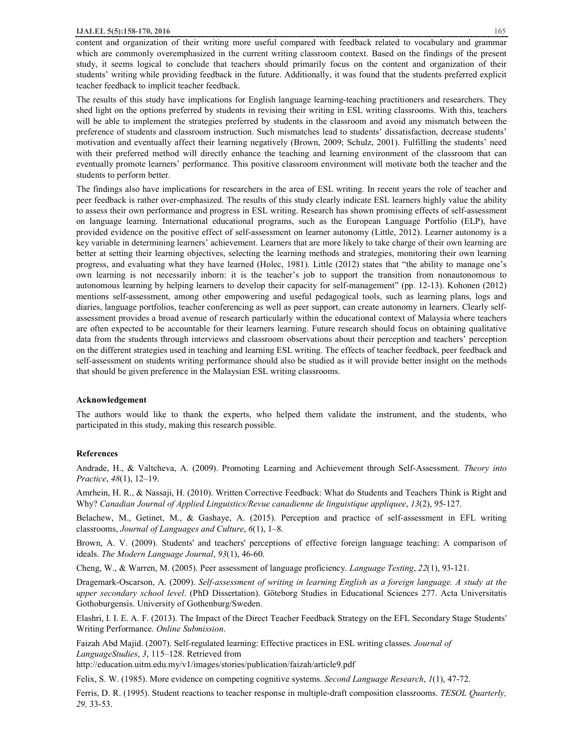content and organization of their writing more useful compared with feedback related to vocabulary and grammar which are commonly overemphasized in the current writing classroom context. Based on the findings of the present study, it seems logical to conclude that teachers should primarily focus on the content and organization of their students' writing while providing feedback in the future. Additionally, it was found that the students preferred explicit teacher feedback to implicit teacher feedback.

The results of this study have implications for English language learning-teaching practitioners and researchers. They shed light on the options preferred by students in revising their writing in ESL writing classrooms. With this, teachers will be able to implement the strategies preferred by students in the classroom and avoid any mismatch between the preference of students and classroom instruction. Such mismatches lead to students' dissatisfaction, decrease students' motivation and eventually affect their learning negatively (Brown, 2009; Schulz, 2001). Fulfilling the students' need with their preferred method will directly enhance the teaching and learning environment of the classroom that can eventually promote learners' performance. This positive classroom environment will motivate both the teacher and the students to perform better.

The findings also have implications for researchers in the area of ESL writing. In recent years the role of teacher and peer feedback is rather over-emphasized. The results of this study clearly indicate ESL learners highly value the ability to assess their own performance and progress in ESL writing. Research has shown promising effects of self-assessment on language learning. International educational programs, such as the European Language Portfolio (ELP), have provided evidence on the positive effect of self-assessment on learner autonomy (Little, 2012). Learner autonomy is a key variable in determining learners' achievement. Learners that are more likely to take charge of their own learning are better at setting their learning objectives, selecting the learning methods and strategies, monitoring their own learning progress, and evaluating what they have learned (Holec, 1981). Little (2012) states that "the ability to manage one's own learning is not necessarily inborn: it is the teacher's job to support the transition from nonautonomous to autonomous learning by helping learners to develop their capacity for self-management" (pp. 12-13). Kohonen (2012) mentions self-assessment, among other empowering and useful pedagogical tools, such as learning plans, logs and diaries, language portfolios, teacher conferencing as well as peer support, can create autonomy in learners. Clearly selfassessment provides a broad avenue of research particularly within the educational context of Malaysia where teachers are often expected to be accountable for their learners learning. Future research should focus on obtaining qualitative data from the students through interviews and classroom observations about their perception and teachers' perception on the different strategies used in teaching and learning ESL writing. The effects of teacher feedback, peer feedback and self-assessment on students writing performance should also be studied as it will provide better insight on the methods that should be given preference in the Malaysian ESL writing classrooms.

#### **Acknowledgement**

The authors would like to thank the experts, who helped them validate the instrument, and the students, who participated in this study, making this research possible.

#### **References**

Andrade, H., & Valtcheva, A. (2009). Promoting Learning and Achievement through Self-Assessment. *Theory into Practice*, *48*(1), 12–19.

Amrhein, H. R., & Nassaji, H. (2010). Written Corrective Feedback: What do Students and Teachers Think is Right and Why? *Canadian Journal of Applied Linguistics/Revue canadienne de linguistique appliquee*, *13*(2), 95-127.

Belachew, M., Getinet, M., & Gashaye, A. (2015). Perception and practice of self-assessment in EFL writing classrooms, *Journal of Languages and Culture*, *6*(1), 1–8.

Brown, A. V. (2009). Students' and teachers' perceptions of effective foreign language teaching: A comparison of ideals. *The Modern Language Journal*, *93*(1), 46-60.

Cheng, W., & Warren, M. (2005). Peer assessment of language proficiency. *Language Testing*, *22*(1), 93-121.

Dragemark-Oscarson, A. (2009). *Self-assessment of writing in learning English as a foreign language. A study at the upper secondary school level*. (PhD Dissertation). Göteborg Studies in Educational Sciences 277. Acta Universitatis Gothoburgensis. University of Gothenburg/Sweden.

Elashri, I. I. E. A. F. (2013). The Impact of the Direct Teacher Feedback Strategy on the EFL Secondary Stage Students' Writing Performance. *Online Submission*.

Faizah Abd Majid. (2007). Self-regulated learning: Effective practices in ESL writing classes. *Journal of LanguageStudies*, *3*, 115–128. Retrieved from

http://education.uitm.edu.my/v1/images/stories/publication/faizah/article9.pdf

Felix, S. W. (1985). More evidence on competing cognitive systems. *Second Language Research*, *1*(1), 47-72.

Ferris, D. R. (1995). Student reactions to teacher response in multiple-draft composition classrooms. *TESOL Quarterly, 29,* 33-53.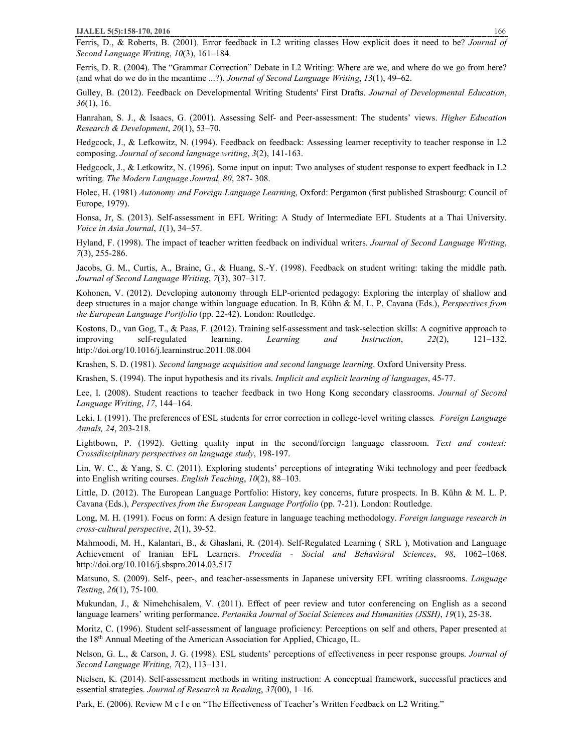Ferris, D., & Roberts, B. (2001). Error feedback in L2 writing classes How explicit does it need to be? *Journal of Second Language Writing*, *10*(3), 161–184.

Ferris, D. R. (2004). The "Grammar Correction" Debate in L2 Writing: Where are we, and where do we go from here? (and what do we do in the meantime ...?). *Journal of Second Language Writing*, *13*(1), 49–62.

Gulley, B. (2012). Feedback on Developmental Writing Students' First Drafts. *Journal of Developmental Education*, *36*(1), 16.

Hanrahan, S. J., & Isaacs, G. (2001). Assessing Self- and Peer-assessment: The students' views. *Higher Education Research & Development*, *20*(1), 53–70.

Hedgcock, J., & Lefkowitz, N. (1994). Feedback on feedback: Assessing learner receptivity to teacher response in L2 composing. *Journal of second language writing*, *3*(2), 141-163.

Hedgcock, J., & Letkowitz, N. (1996). Some input on input: Two analyses of student response to expert feedback in L2 writing. *The Modern Language Journal, 80*, 287- 308.

Holec, H. (1981) *Autonomy and Foreign Language Learning*, Oxford: Pergamon (first published Strasbourg: Council of Europe, 1979).

Honsa, Jr, S. (2013). Self-assessment in EFL Writing: A Study of Intermediate EFL Students at a Thai University. *Voice in Asia Journal*, *1*(1), 34–57.

Hyland, F. (1998). The impact of teacher written feedback on individual writers. *Journal of Second Language Writing*, *7*(3), 255-286.

Jacobs, G. M., Curtis, A., Braine, G., & Huang, S.-Y. (1998). Feedback on student writing: taking the middle path. *Journal of Second Language Writing*, *7*(3), 307–317.

Kohonen, V. (2012). Developing autonomy through ELP-oriented pedagogy: Exploring the interplay of shallow and deep structures in a major change within language education. In B. Kühn & M. L. P. Cavana (Eds.), *Perspectives from the European Language Portfolio* (pp. 22-42). London: Routledge.

Kostons, D., van Gog, T., & Paas, F. (2012). Training self-assessment and task-selection skills: A cognitive approach to improving self-regulated learning. *Learning and Instruction*, *22*(2), 121–132. http://doi.org/10.1016/j.learninstruc.2011.08.004

Krashen, S. D. (1981). *Second language acquisition and second language learning*. Oxford University Press.

Krashen, S. (1994). The input hypothesis and its rivals. *Implicit and explicit learning of languages*, 45-77.

Lee, I. (2008). Student reactions to teacher feedback in two Hong Kong secondary classrooms. *Journal of Second Language Writing*, *17*, 144–164.

Leki, I. (1991). The preferences of ESL students for error correction in college-level writing classes*. Foreign Language Annals, 24*, 203-218.

Lightbown, P. (1992). Getting quality input in the second/foreign language classroom. *Text and context: Crossdisciplinary perspectives on language study*, 198-197.

Lin, W. C., & Yang, S. C. (2011). Exploring students' perceptions of integrating Wiki technology and peer feedback into English writing courses. *English Teaching*, *10*(2), 88–103.

Little, D. (2012). The European Language Portfolio: History, key concerns, future prospects. In B. Kühn & M. L. P. Cavana (Eds.), *Perspectives from the European Language Portfolio* (pp. 7-21). London: Routledge.

Long, M. H. (1991). Focus on form: A design feature in language teaching methodology. *Foreign language research in cross-cultural perspective*, *2*(1), 39-52.

Mahmoodi, M. H., Kalantari, B., & Ghaslani, R. (2014). Self-Regulated Learning ( SRL ), Motivation and Language Achievement of Iranian EFL Learners. *Procedia - Social and Behavioral Sciences*, *98*, 1062–1068. http://doi.org/10.1016/j.sbspro.2014.03.517

Matsuno, S. (2009). Self-, peer-, and teacher-assessments in Japanese university EFL writing classrooms. *Language Testing*, *26*(1), 75-100.

Mukundan, J., & Nimehchisalem, V. (2011). Effect of peer review and tutor conferencing on English as a second language learners' writing performance. *Pertanika Journal of Social Sciences and Humanities (JSSH)*, *19*(1), 25-38.

Moritz, C. (1996). Student self-assessment of language proficiency: Perceptions on self and others, Paper presented at the 18th Annual Meeting of the American Association for Applied, Chicago, IL.

Nelson, G. L., & Carson, J. G. (1998). ESL students' perceptions of effectiveness in peer response groups. *Journal of Second Language Writing*, *7*(2), 113–131.

Nielsen, K. (2014). Self-assessment methods in writing instruction: A conceptual framework, successful practices and essential strategies. *Journal of Research in Reading*, *37*(00), 1–16.

Park, E. (2006). Review M c l e on "The Effectiveness of Teacher's Written Feedback on L2 Writing."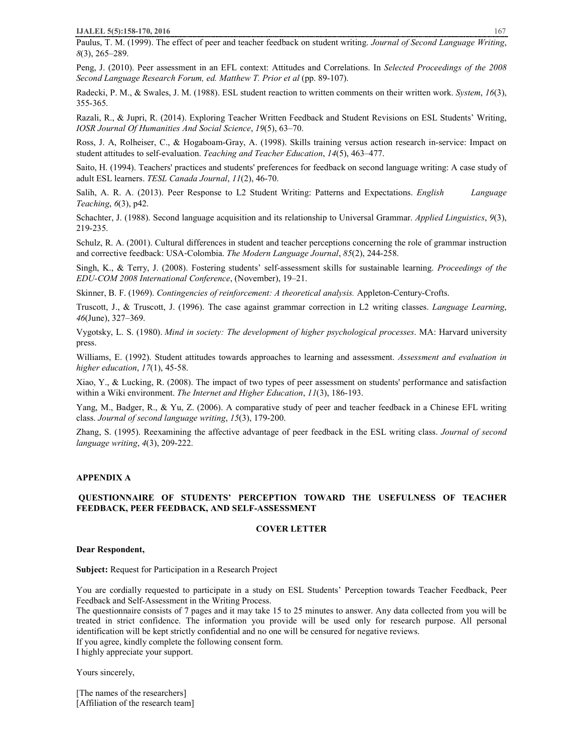Paulus, T. M. (1999). The effect of peer and teacher feedback on student writing. *Journal of Second Language Writing*, *8*(3), 265–289.

Peng, J. (2010). Peer assessment in an EFL context: Attitudes and Correlations. In *Selected Proceedings of the 2008 Second Language Research Forum, ed. Matthew T. Prior et al* (pp. 89-107).

Radecki, P. M., & Swales, J. M. (1988). ESL student reaction to written comments on their written work. *System*, *16*(3), 355-365.

Razali, R., & Jupri, R. (2014). Exploring Teacher Written Feedback and Student Revisions on ESL Students' Writing, *IOSR Journal Of Humanities And Social Science*, *19*(5), 63–70.

Ross, J. A, Rolheiser, C., & Hogaboam-Gray, A. (1998). Skills training versus action research in-service: Impact on student attitudes to self-evaluation. *Teaching and Teacher Education*, *14*(5), 463–477.

Saito, H. (1994). Teachers' practices and students' preferences for feedback on second language writing: A case study of adult ESL learners. *TESL Canada Journal*, *11*(2), 46-70.

Salih, A. R. A. (2013). Peer Response to L2 Student Writing: Patterns and Expectations. *English Language Teaching*, *6*(3), p42.

Schachter, J. (1988). Second language acquisition and its relationship to Universal Grammar. *Applied Linguistics*, *9*(3), 219-235.

Schulz, R. A. (2001). Cultural differences in student and teacher perceptions concerning the role of grammar instruction and corrective feedback: USA‐Colombia. *The Modern Language Journal*, *85*(2), 244-258.

Singh, K., & Terry, J. (2008). Fostering students' self-assessment skills for sustainable learning. *Proceedings of the EDU-COM 2008 International Conference*, (November), 19–21.

Skinner, B. F. (1969). *Contingencies of reinforcement: A theoretical analysis.* Appleton-Century-Crofts.

Truscott, J., & Truscott, J. (1996). The case against grammar correction in L2 writing classes. *Language Learning*, *46*(June), 327–369.

Vygotsky, L. S. (1980). *Mind in society: The development of higher psychological processes*. MA: Harvard university press.

Williams, E. (1992). Student attitudes towards approaches to learning and assessment. *Assessment and evaluation in higher education*, *17*(1), 45-58.

Xiao, Y., & Lucking, R. (2008). The impact of two types of peer assessment on students' performance and satisfaction within a Wiki environment. *The Internet and Higher Education*, *11*(3), 186-193.

Yang, M., Badger, R., & Yu, Z. (2006). A comparative study of peer and teacher feedback in a Chinese EFL writing class. *Journal of second language writing*, *15*(3), 179-200.

Zhang, S. (1995). Reexamining the affective advantage of peer feedback in the ESL writing class. *Journal of second language writing*, *4*(3), 209-222.

## **APPENDIX A**

## **QUESTIONNAIRE OF STUDENTS' PERCEPTION TOWARD THE USEFULNESS OF TEACHER FEEDBACK, PEER FEEDBACK, AND SELF-ASSESSMENT**

## **COVER LETTER**

#### **Dear Respondent,**

**Subject:** Request for Participation in a Research Project

You are cordially requested to participate in a study on ESL Students' Perception towards Teacher Feedback, Peer Feedback and Self-Assessment in the Writing Process.

The questionnaire consists of 7 pages and it may take 15 to 25 minutes to answer. Any data collected from you will be treated in strict confidence. The information you provide will be used only for research purpose. All personal identification will be kept strictly confidential and no one will be censured for negative reviews. If you agree, kindly complete the following consent form.

I highly appreciate your support.

Yours sincerely,

[The names of the researchers] [Affiliation of the research team]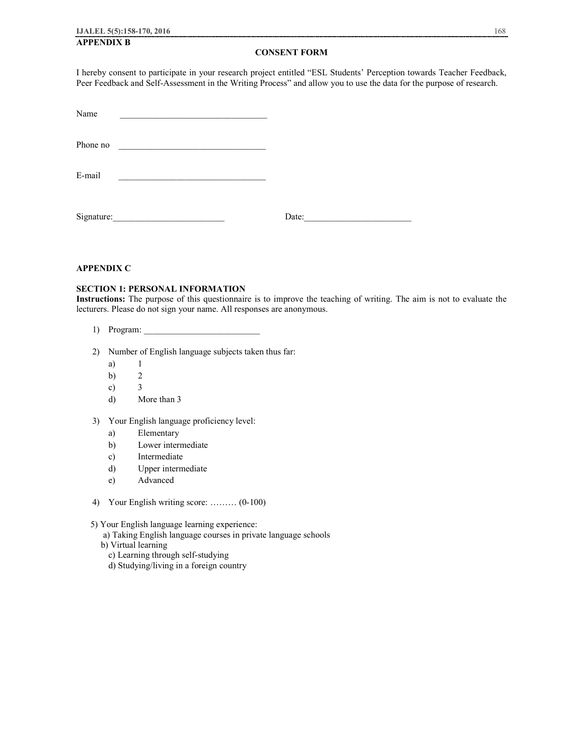## **APPENDIX B**

### **CONSENT FORM**

I hereby consent to participate in your research project entitled "ESL Students' Perception towards Teacher Feedback, Peer Feedback and Self-Assessment in the Writing Process" and allow you to use the data for the purpose of research.

| Name |  |
|------|--|
|      |  |

Phone no

Signature: Date:

## **APPENDIX C**

## **SECTION 1: PERSONAL INFORMATION**

**Instructions:** The purpose of this questionnaire is to improve the teaching of writing. The aim is not to evaluate the lecturers. Please do not sign your name. All responses are anonymous.

- 1) Program: \_\_\_\_\_\_\_\_\_\_\_\_\_\_\_\_\_\_\_\_\_\_\_\_\_\_
- 2) Number of English language subjects taken thus far:
	- a) 1
	- b) 2
	- c) 3
	- d) More than 3
- 3) Your English language proficiency level:
	- a) Elementary
	- b) Lower intermediate
	- c) Intermediate
	- d) Upper intermediate
	- e) Advanced
- 4) Your English writing score: ……… (0-100)
- 5) Your English language learning experience:
	- a) Taking English language courses in private language schools
	- b) Virtual learning
		- c) Learning through self-studying
		- d) Studying/living in a foreign country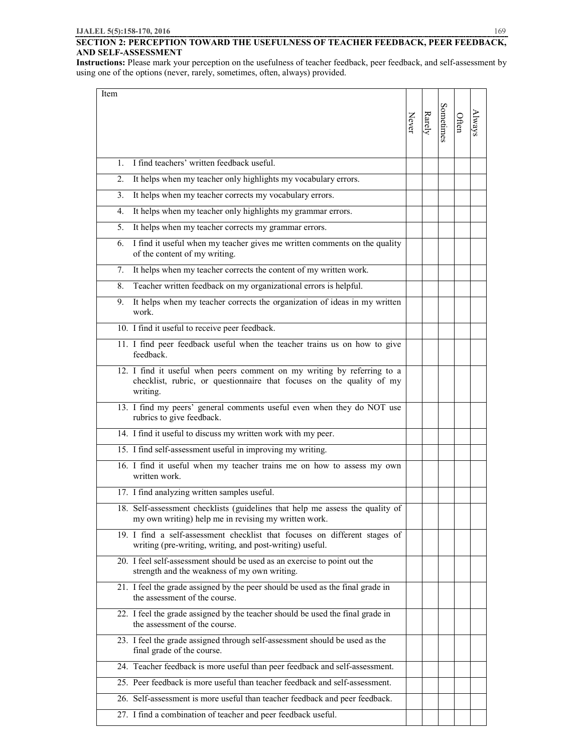## **SECTION 2: PERCEPTION TOWARD THE USEFULNESS OF TEACHER FEEDBACK, PEER FEEDBACK, AND SELF-ASSESSMENT**

**Instructions:** Please mark your perception on the usefulness of teacher feedback, peer feedback, and self-assessment by using one of the options (never, rarely, sometimes, often, always) provided.

| Item           |                                                                                                                                                              |       |        |           |       |        |
|----------------|--------------------------------------------------------------------------------------------------------------------------------------------------------------|-------|--------|-----------|-------|--------|
|                |                                                                                                                                                              | Never | Rarely | Sometimes | Often | Always |
| $\mathbf{1}$ . | I find teachers' written feedback useful.                                                                                                                    |       |        |           |       |        |
| 2.             | It helps when my teacher only highlights my vocabulary errors.                                                                                               |       |        |           |       |        |
| 3.             | It helps when my teacher corrects my vocabulary errors.                                                                                                      |       |        |           |       |        |
| 4.             | It helps when my teacher only highlights my grammar errors.                                                                                                  |       |        |           |       |        |
| 5.             | It helps when my teacher corrects my grammar errors.                                                                                                         |       |        |           |       |        |
| 6.             | I find it useful when my teacher gives me written comments on the quality<br>of the content of my writing.                                                   |       |        |           |       |        |
| 7.             | It helps when my teacher corrects the content of my written work.                                                                                            |       |        |           |       |        |
| 8.             | Teacher written feedback on my organizational errors is helpful.                                                                                             |       |        |           |       |        |
| 9.             | It helps when my teacher corrects the organization of ideas in my written<br>work.                                                                           |       |        |           |       |        |
|                | 10. I find it useful to receive peer feedback.                                                                                                               |       |        |           |       |        |
|                | 11. I find peer feedback useful when the teacher trains us on how to give<br>feedback.                                                                       |       |        |           |       |        |
|                | 12. I find it useful when peers comment on my writing by referring to a<br>checklist, rubric, or questionnaire that focuses on the quality of my<br>writing. |       |        |           |       |        |
|                | 13. I find my peers' general comments useful even when they do NOT use<br>rubrics to give feedback.                                                          |       |        |           |       |        |
|                | 14. I find it useful to discuss my written work with my peer.                                                                                                |       |        |           |       |        |
|                | 15. I find self-assessment useful in improving my writing.                                                                                                   |       |        |           |       |        |
|                | 16. I find it useful when my teacher trains me on how to assess my own<br>written work.                                                                      |       |        |           |       |        |
|                | 17. I find analyzing written samples useful.                                                                                                                 |       |        |           |       |        |
|                | 18. Self-assessment checklists (guidelines that help me assess the quality of<br>my own writing) help me in revising my written work.                        |       |        |           |       |        |
|                | 19. I find a self-assessment checklist that focuses on different stages of<br>writing (pre-writing, writing, and post-writing) useful.                       |       |        |           |       |        |
|                | 20. I feel self-assessment should be used as an exercise to point out the<br>strength and the weakness of my own writing.                                    |       |        |           |       |        |
|                | 21. I feel the grade assigned by the peer should be used as the final grade in<br>the assessment of the course.                                              |       |        |           |       |        |
|                | 22. I feel the grade assigned by the teacher should be used the final grade in<br>the assessment of the course.                                              |       |        |           |       |        |
|                | 23. I feel the grade assigned through self-assessment should be used as the<br>final grade of the course.                                                    |       |        |           |       |        |
|                | 24. Teacher feedback is more useful than peer feedback and self-assessment.                                                                                  |       |        |           |       |        |
|                | 25. Peer feedback is more useful than teacher feedback and self-assessment.                                                                                  |       |        |           |       |        |
|                | 26. Self-assessment is more useful than teacher feedback and peer feedback.                                                                                  |       |        |           |       |        |
|                | 27. I find a combination of teacher and peer feedback useful.                                                                                                |       |        |           |       |        |